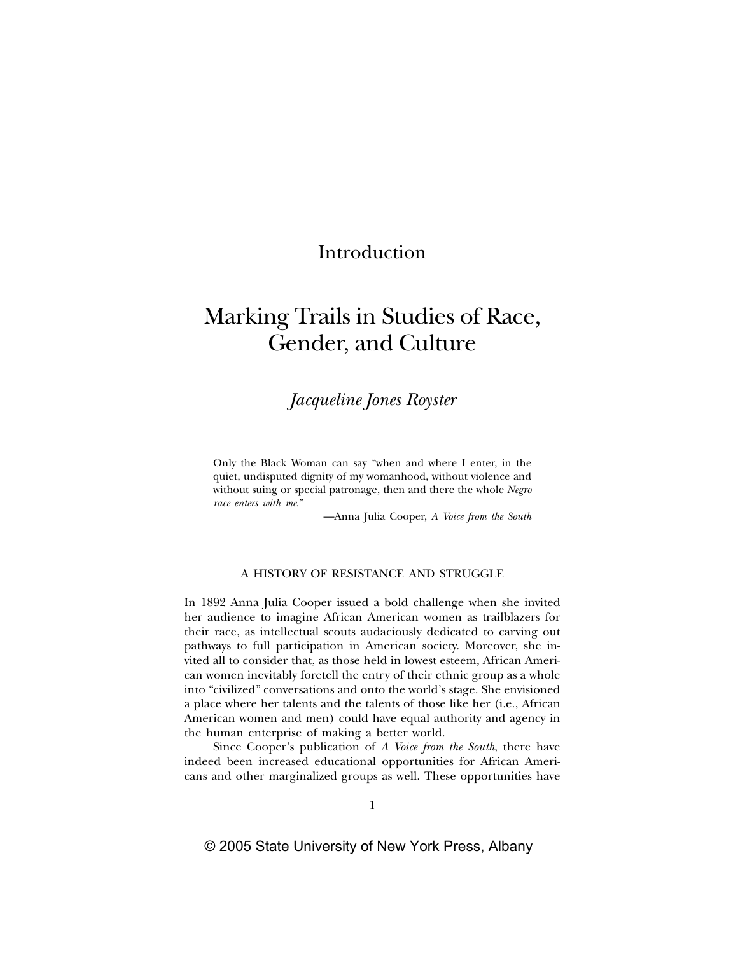# Marking Trails in Studies of Race, Gender, and Culture

# *Jacqueline Jones Royster*

Only the Black Woman can say "when and where I enter, in the quiet, undisputed dignity of my womanhood, without violence and without suing or special patronage, then and there the whole *Negro race enters with me*."

—Anna Julia Cooper, *A Voice from the South*

## A HISTORY OF RESISTANCE AND STRUGGLE

In 1892 Anna Julia Cooper issued a bold challenge when she invited her audience to imagine African American women as trailblazers for their race, as intellectual scouts audaciously dedicated to carving out pathways to full participation in American society. Moreover, she invited all to consider that, as those held in lowest esteem, African American women inevitably foretell the entry of their ethnic group as a whole into "civilized" conversations and onto the world's stage. She envisioned a place where her talents and the talents of those like her (i.e., African American women and men) could have equal authority and agency in the human enterprise of making a better world.

Since Cooper's publication of *A Voice from the South*, there have indeed been increased educational opportunities for African Americans and other marginalized groups as well. These opportunities have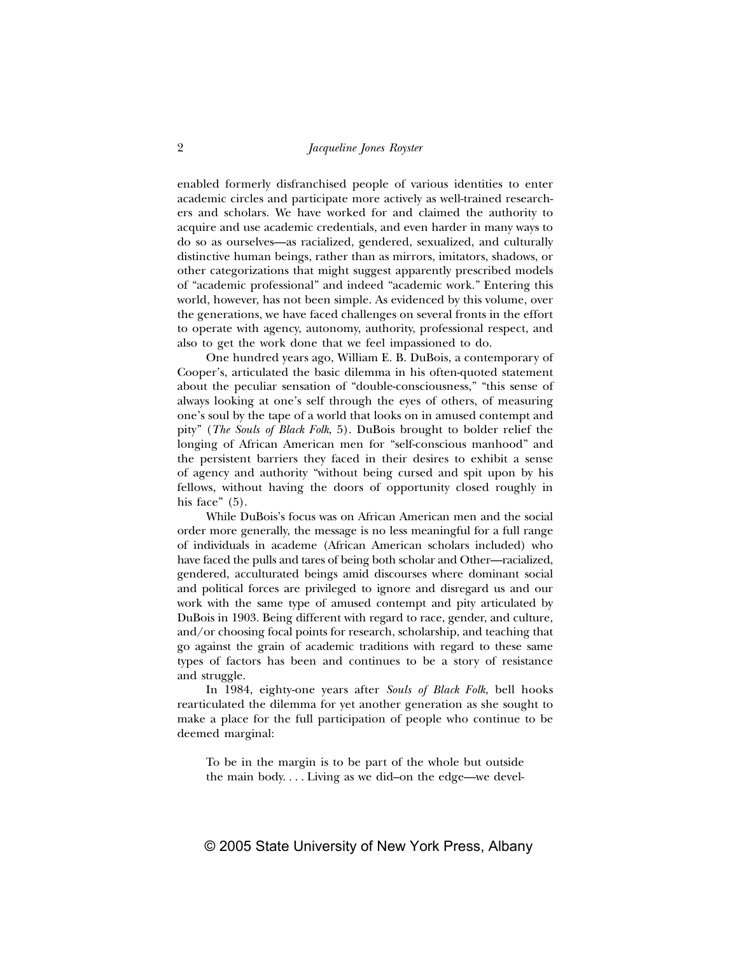enabled formerly disfranchised people of various identities to enter academic circles and participate more actively as well-trained researchers and scholars. We have worked for and claimed the authority to acquire and use academic credentials, and even harder in many ways to do so as ourselves—as racialized, gendered, sexualized, and culturally distinctive human beings, rather than as mirrors, imitators, shadows, or other categorizations that might suggest apparently prescribed models of "academic professional" and indeed "academic work." Entering this world, however, has not been simple. As evidenced by this volume, over the generations, we have faced challenges on several fronts in the effort to operate with agency, autonomy, authority, professional respect, and also to get the work done that we feel impassioned to do.

One hundred years ago, William E. B. DuBois, a contemporary of Cooper's, articulated the basic dilemma in his often-quoted statement about the peculiar sensation of "double-consciousness," "this sense of always looking at one's self through the eyes of others, of measuring one's soul by the tape of a world that looks on in amused contempt and pity" (*The Souls of Black Folk*, 5). DuBois brought to bolder relief the longing of African American men for "self-conscious manhood" and the persistent barriers they faced in their desires to exhibit a sense of agency and authority "without being cursed and spit upon by his fellows, without having the doors of opportunity closed roughly in his face" (5).

While DuBois's focus was on African American men and the social order more generally, the message is no less meaningful for a full range of individuals in academe (African American scholars included) who have faced the pulls and tares of being both scholar and Other—racialized, gendered, acculturated beings amid discourses where dominant social and political forces are privileged to ignore and disregard us and our work with the same type of amused contempt and pity articulated by DuBois in 1903. Being different with regard to race, gender, and culture, and/or choosing focal points for research, scholarship, and teaching that go against the grain of academic traditions with regard to these same types of factors has been and continues to be a story of resistance and struggle.

In 1984, eighty-one years after *Souls of Black Folk*, bell hooks rearticulated the dilemma for yet another generation as she sought to make a place for the full participation of people who continue to be deemed marginal:

To be in the margin is to be part of the whole but outside the main body.... Living as we did–on the edge—we devel-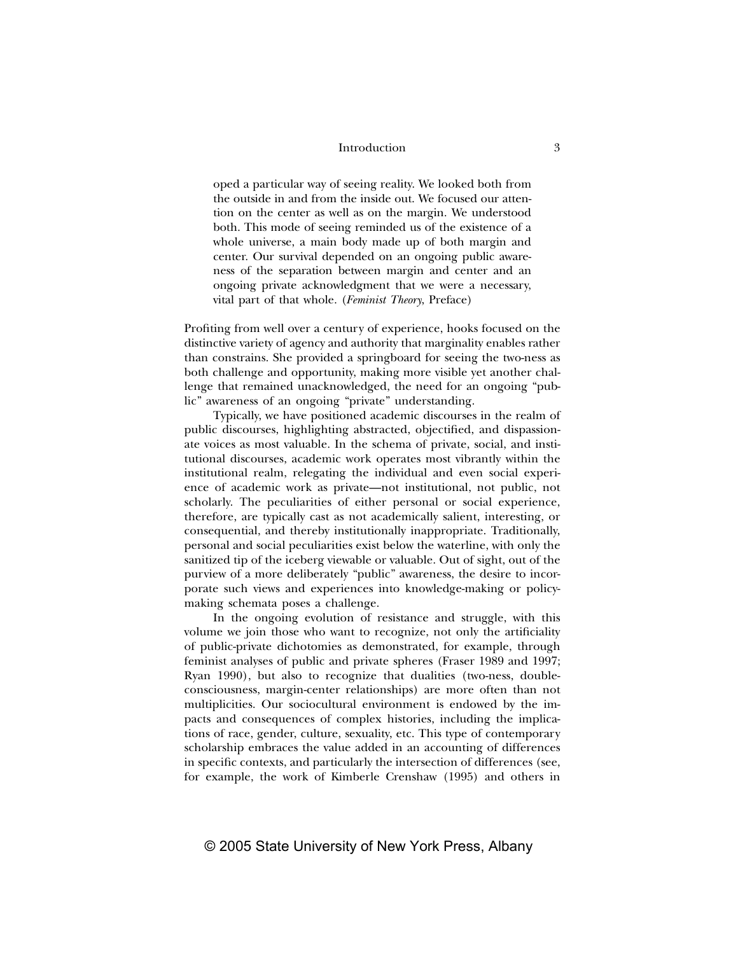oped a particular way of seeing reality. We looked both from the outside in and from the inside out. We focused our attention on the center as well as on the margin. We understood both. This mode of seeing reminded us of the existence of a whole universe, a main body made up of both margin and center. Our survival depended on an ongoing public awareness of the separation between margin and center and an ongoing private acknowledgment that we were a necessary, vital part of that whole. (*Feminist Theory*, Preface)

Profiting from well over a century of experience, hooks focused on the distinctive variety of agency and authority that marginality enables rather than constrains. She provided a springboard for seeing the two-ness as both challenge and opportunity, making more visible yet another challenge that remained unacknowledged, the need for an ongoing "public" awareness of an ongoing "private" understanding.

Typically, we have positioned academic discourses in the realm of public discourses, highlighting abstracted, objectified, and dispassionate voices as most valuable. In the schema of private, social, and institutional discourses, academic work operates most vibrantly within the institutional realm, relegating the individual and even social experience of academic work as private—not institutional, not public, not scholarly. The peculiarities of either personal or social experience, therefore, are typically cast as not academically salient, interesting, or consequential, and thereby institutionally inappropriate. Traditionally, personal and social peculiarities exist below the waterline, with only the sanitized tip of the iceberg viewable or valuable. Out of sight, out of the purview of a more deliberately "public" awareness, the desire to incorporate such views and experiences into knowledge-making or policymaking schemata poses a challenge.

In the ongoing evolution of resistance and struggle, with this volume we join those who want to recognize, not only the artificiality of public-private dichotomies as demonstrated, for example, through feminist analyses of public and private spheres (Fraser 1989 and 1997; Ryan 1990), but also to recognize that dualities (two-ness, doubleconsciousness, margin-center relationships) are more often than not multiplicities. Our sociocultural environment is endowed by the impacts and consequences of complex histories, including the implications of race, gender, culture, sexuality, etc. This type of contemporary scholarship embraces the value added in an accounting of differences in specific contexts, and particularly the intersection of differences (see, for example, the work of Kimberle Crenshaw (1995) and others in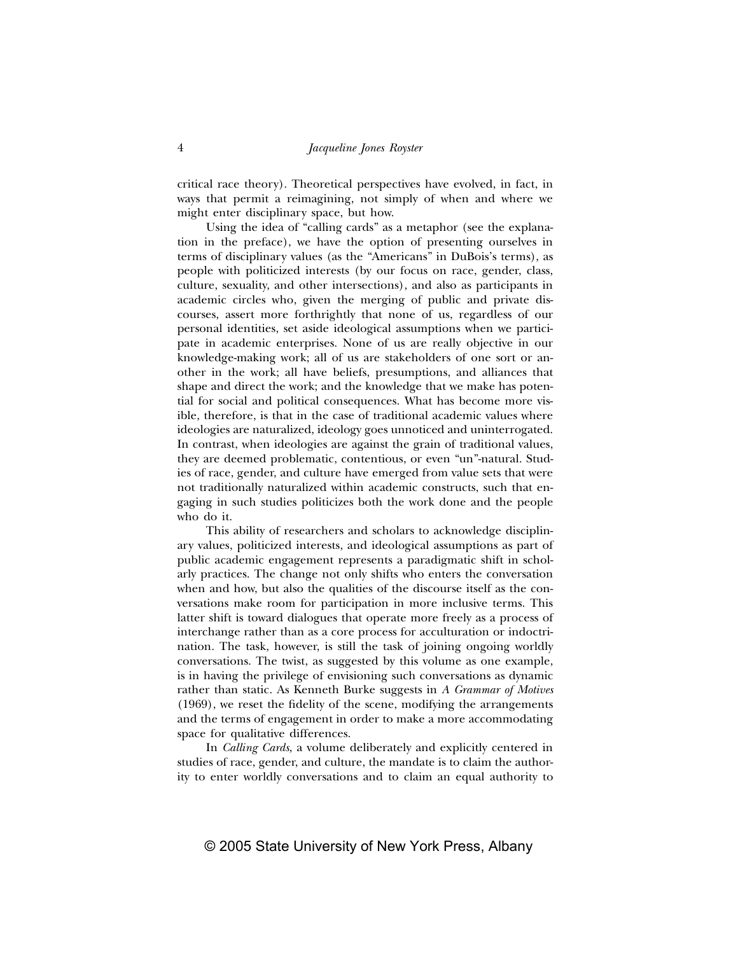critical race theory). Theoretical perspectives have evolved, in fact, in ways that permit a reimagining, not simply of when and where we might enter disciplinary space, but how.

Using the idea of "calling cards" as a metaphor (see the explanation in the preface), we have the option of presenting ourselves in terms of disciplinary values (as the "Americans" in DuBois's terms), as people with politicized interests (by our focus on race, gender, class, culture, sexuality, and other intersections), and also as participants in academic circles who, given the merging of public and private discourses, assert more forthrightly that none of us, regardless of our personal identities, set aside ideological assumptions when we participate in academic enterprises. None of us are really objective in our knowledge-making work; all of us are stakeholders of one sort or another in the work; all have beliefs, presumptions, and alliances that shape and direct the work; and the knowledge that we make has potential for social and political consequences. What has become more visible, therefore, is that in the case of traditional academic values where ideologies are naturalized, ideology goes unnoticed and uninterrogated. In contrast, when ideologies are against the grain of traditional values, they are deemed problematic, contentious, or even "un"-natural. Studies of race, gender, and culture have emerged from value sets that were not traditionally naturalized within academic constructs, such that engaging in such studies politicizes both the work done and the people who do it.

This ability of researchers and scholars to acknowledge disciplinary values, politicized interests, and ideological assumptions as part of public academic engagement represents a paradigmatic shift in scholarly practices. The change not only shifts who enters the conversation when and how, but also the qualities of the discourse itself as the conversations make room for participation in more inclusive terms. This latter shift is toward dialogues that operate more freely as a process of interchange rather than as a core process for acculturation or indoctrination. The task, however, is still the task of joining ongoing worldly conversations. The twist, as suggested by this volume as one example, is in having the privilege of envisioning such conversations as dynamic rather than static. As Kenneth Burke suggests in *A Grammar of Motives* (1969), we reset the fidelity of the scene, modifying the arrangements and the terms of engagement in order to make a more accommodating space for qualitative differences.

In *Calling Cards*, a volume deliberately and explicitly centered in studies of race, gender, and culture, the mandate is to claim the authority to enter worldly conversations and to claim an equal authority to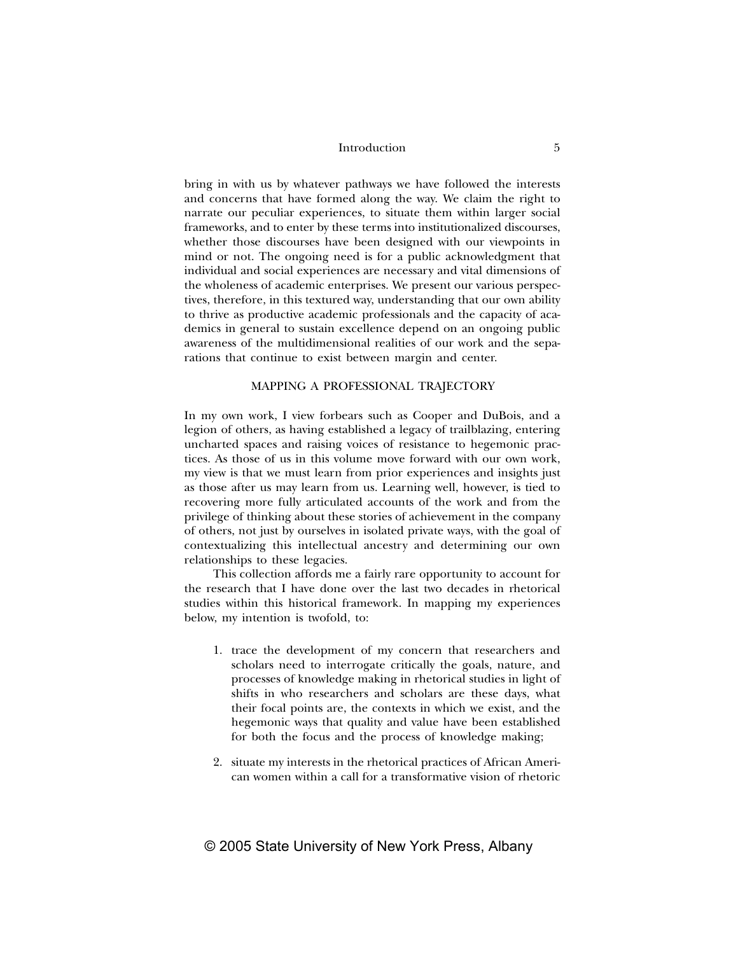bring in with us by whatever pathways we have followed the interests and concerns that have formed along the way. We claim the right to narrate our peculiar experiences, to situate them within larger social frameworks, and to enter by these terms into institutionalized discourses, whether those discourses have been designed with our viewpoints in mind or not. The ongoing need is for a public acknowledgment that individual and social experiences are necessary and vital dimensions of the wholeness of academic enterprises. We present our various perspectives, therefore, in this textured way, understanding that our own ability to thrive as productive academic professionals and the capacity of academics in general to sustain excellence depend on an ongoing public awareness of the multidimensional realities of our work and the separations that continue to exist between margin and center.

#### MAPPING A PROFESSIONAL TRAJECTORY

In my own work, I view forbears such as Cooper and DuBois, and a legion of others, as having established a legacy of trailblazing, entering uncharted spaces and raising voices of resistance to hegemonic practices. As those of us in this volume move forward with our own work, my view is that we must learn from prior experiences and insights just as those after us may learn from us. Learning well, however, is tied to recovering more fully articulated accounts of the work and from the privilege of thinking about these stories of achievement in the company of others, not just by ourselves in isolated private ways, with the goal of contextualizing this intellectual ancestry and determining our own relationships to these legacies.

This collection affords me a fairly rare opportunity to account for the research that I have done over the last two decades in rhetorical studies within this historical framework. In mapping my experiences below, my intention is twofold, to:

- 1. trace the development of my concern that researchers and scholars need to interrogate critically the goals, nature, and processes of knowledge making in rhetorical studies in light of shifts in who researchers and scholars are these days, what their focal points are, the contexts in which we exist, and the hegemonic ways that quality and value have been established for both the focus and the process of knowledge making;
- 2. situate my interests in the rhetorical practices of African American women within a call for a transformative vision of rhetoric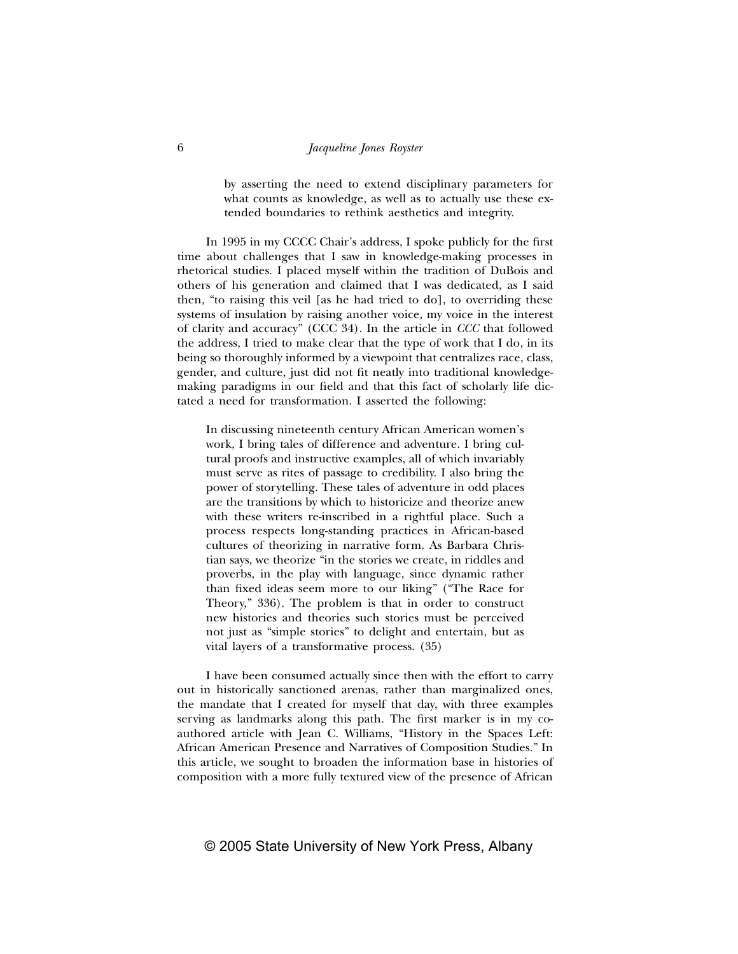by asserting the need to extend disciplinary parameters for what counts as knowledge, as well as to actually use these extended boundaries to rethink aesthetics and integrity.

In 1995 in my CCCC Chair's address, I spoke publicly for the first time about challenges that I saw in knowledge-making processes in rhetorical studies. I placed myself within the tradition of DuBois and others of his generation and claimed that I was dedicated, as I said then, "to raising this veil [as he had tried to do], to overriding these systems of insulation by raising another voice, my voice in the interest of clarity and accuracy" (CCC 34). In the article in *CCC* that followed the address, I tried to make clear that the type of work that I do, in its being so thoroughly informed by a viewpoint that centralizes race, class, gender, and culture, just did not fit neatly into traditional knowledgemaking paradigms in our field and that this fact of scholarly life dictated a need for transformation. I asserted the following:

In discussing nineteenth century African American women's work, I bring tales of difference and adventure. I bring cultural proofs and instructive examples, all of which invariably must serve as rites of passage to credibility. I also bring the power of storytelling. These tales of adventure in odd places are the transitions by which to historicize and theorize anew with these writers re-inscribed in a rightful place. Such a process respects long-standing practices in African-based cultures of theorizing in narrative form. As Barbara Christian says, we theorize "in the stories we create, in riddles and proverbs, in the play with language, since dynamic rather than fixed ideas seem more to our liking" ("The Race for Theory," 336). The problem is that in order to construct new histories and theories such stories must be perceived not just as "simple stories" to delight and entertain, but as vital layers of a transformative process. (35)

I have been consumed actually since then with the effort to carry out in historically sanctioned arenas, rather than marginalized ones, the mandate that I created for myself that day, with three examples serving as landmarks along this path. The first marker is in my coauthored article with Jean C. Williams, "History in the Spaces Left: African American Presence and Narratives of Composition Studies." In this article, we sought to broaden the information base in histories of composition with a more fully textured view of the presence of African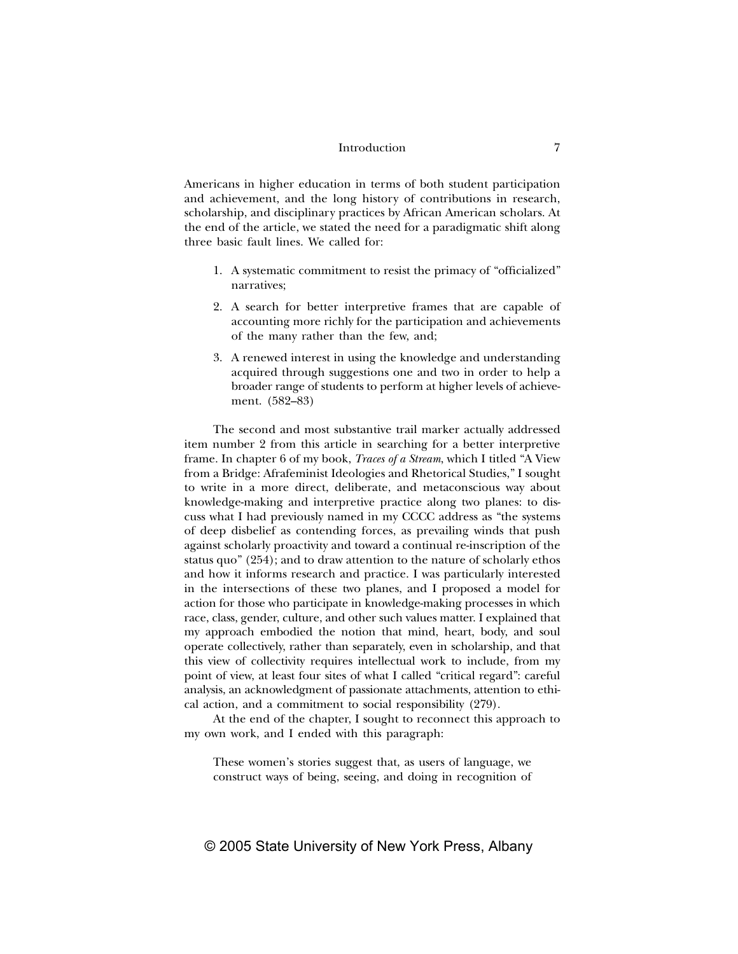Americans in higher education in terms of both student participation and achievement, and the long history of contributions in research, scholarship, and disciplinary practices by African American scholars. At the end of the article, we stated the need for a paradigmatic shift along three basic fault lines. We called for:

- 1. A systematic commitment to resist the primacy of "officialized" narratives;
- 2. A search for better interpretive frames that are capable of accounting more richly for the participation and achievements of the many rather than the few, and;
- 3. A renewed interest in using the knowledge and understanding acquired through suggestions one and two in order to help a broader range of students to perform at higher levels of achievement. (582–83)

The second and most substantive trail marker actually addressed item number 2 from this article in searching for a better interpretive frame. In chapter 6 of my book, *Traces of a Stream*, which I titled "A View from a Bridge: Afrafeminist Ideologies and Rhetorical Studies," I sought to write in a more direct, deliberate, and metaconscious way about knowledge-making and interpretive practice along two planes: to discuss what I had previously named in my CCCC address as "the systems of deep disbelief as contending forces, as prevailing winds that push against scholarly proactivity and toward a continual re-inscription of the status quo" (254); and to draw attention to the nature of scholarly ethos and how it informs research and practice. I was particularly interested in the intersections of these two planes, and I proposed a model for action for those who participate in knowledge-making processes in which race, class, gender, culture, and other such values matter. I explained that my approach embodied the notion that mind, heart, body, and soul operate collectively, rather than separately, even in scholarship, and that this view of collectivity requires intellectual work to include, from my point of view, at least four sites of what I called "critical regard": careful analysis, an acknowledgment of passionate attachments, attention to ethical action, and a commitment to social responsibility (279).

At the end of the chapter, I sought to reconnect this approach to my own work, and I ended with this paragraph:

These women's stories suggest that, as users of language, we construct ways of being, seeing, and doing in recognition of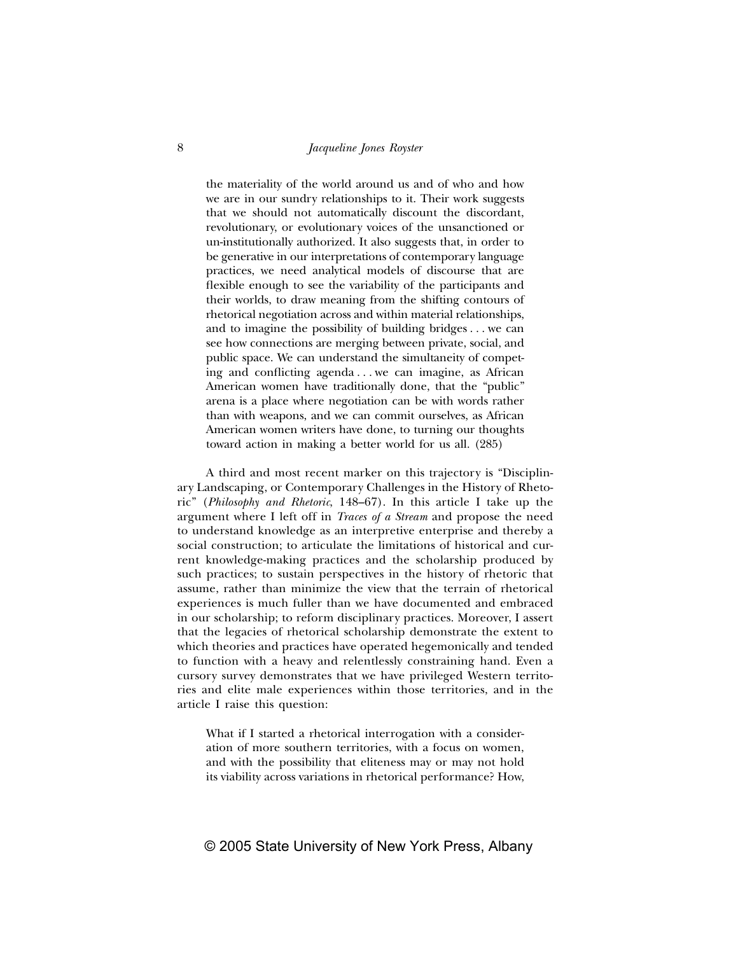the materiality of the world around us and of who and how we are in our sundry relationships to it. Their work suggests that we should not automatically discount the discordant, revolutionary, or evolutionary voices of the unsanctioned or un-institutionally authorized. It also suggests that, in order to be generative in our interpretations of contemporary language practices, we need analytical models of discourse that are flexible enough to see the variability of the participants and their worlds, to draw meaning from the shifting contours of rhetorical negotiation across and within material relationships, and to imagine the possibility of building bridges . . . we can see how connections are merging between private, social, and public space. We can understand the simultaneity of competing and conflicting agenda . . . we can imagine, as African American women have traditionally done, that the "public" arena is a place where negotiation can be with words rather than with weapons, and we can commit ourselves, as African American women writers have done, to turning our thoughts toward action in making a better world for us all. (285)

A third and most recent marker on this trajectory is "Disciplinary Landscaping, or Contemporary Challenges in the History of Rhetoric" (*Philosophy and Rhetoric*, 148–67). In this article I take up the argument where I left off in *Traces of a Stream* and propose the need to understand knowledge as an interpretive enterprise and thereby a social construction; to articulate the limitations of historical and current knowledge-making practices and the scholarship produced by such practices; to sustain perspectives in the history of rhetoric that assume, rather than minimize the view that the terrain of rhetorical experiences is much fuller than we have documented and embraced in our scholarship; to reform disciplinary practices. Moreover, I assert that the legacies of rhetorical scholarship demonstrate the extent to which theories and practices have operated hegemonically and tended to function with a heavy and relentlessly constraining hand. Even a cursory survey demonstrates that we have privileged Western territories and elite male experiences within those territories, and in the article I raise this question:

What if I started a rhetorical interrogation with a consideration of more southern territories, with a focus on women, and with the possibility that eliteness may or may not hold its viability across variations in rhetorical performance? How,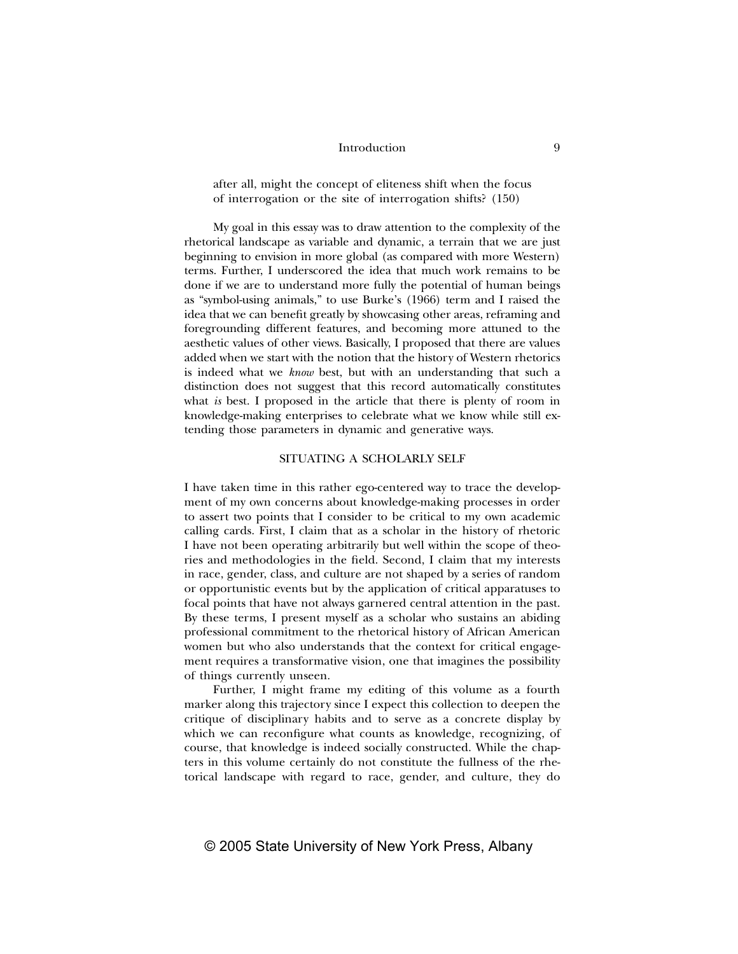after all, might the concept of eliteness shift when the focus of interrogation or the site of interrogation shifts? (150)

My goal in this essay was to draw attention to the complexity of the rhetorical landscape as variable and dynamic, a terrain that we are just beginning to envision in more global (as compared with more Western) terms. Further, I underscored the idea that much work remains to be done if we are to understand more fully the potential of human beings as "symbol-using animals," to use Burke's (1966) term and I raised the idea that we can benefit greatly by showcasing other areas, reframing and foregrounding different features, and becoming more attuned to the aesthetic values of other views. Basically, I proposed that there are values added when we start with the notion that the history of Western rhetorics is indeed what we *know* best, but with an understanding that such a distinction does not suggest that this record automatically constitutes what *is* best. I proposed in the article that there is plenty of room in knowledge-making enterprises to celebrate what we know while still extending those parameters in dynamic and generative ways.

#### SITUATING A SCHOLARLY SELF

I have taken time in this rather ego-centered way to trace the development of my own concerns about knowledge-making processes in order to assert two points that I consider to be critical to my own academic calling cards. First, I claim that as a scholar in the history of rhetoric I have not been operating arbitrarily but well within the scope of theories and methodologies in the field. Second, I claim that my interests in race, gender, class, and culture are not shaped by a series of random or opportunistic events but by the application of critical apparatuses to focal points that have not always garnered central attention in the past. By these terms, I present myself as a scholar who sustains an abiding professional commitment to the rhetorical history of African American women but who also understands that the context for critical engagement requires a transformative vision, one that imagines the possibility of things currently unseen.

Further, I might frame my editing of this volume as a fourth marker along this trajectory since I expect this collection to deepen the critique of disciplinary habits and to serve as a concrete display by which we can reconfigure what counts as knowledge, recognizing, of course, that knowledge is indeed socially constructed. While the chapters in this volume certainly do not constitute the fullness of the rhetorical landscape with regard to race, gender, and culture, they do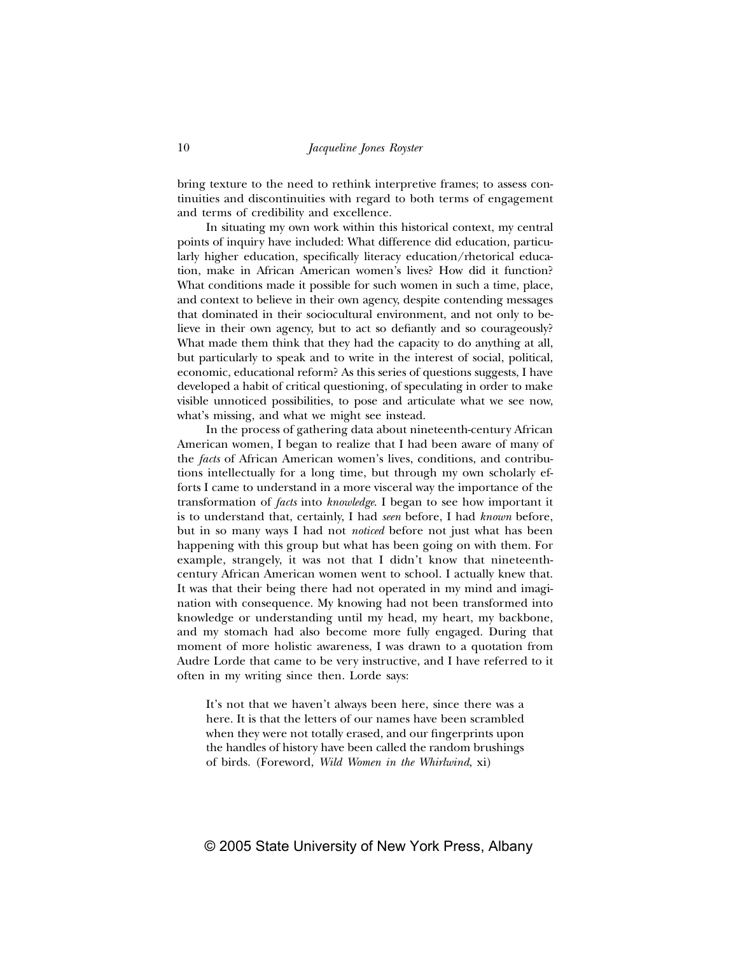bring texture to the need to rethink interpretive frames; to assess continuities and discontinuities with regard to both terms of engagement and terms of credibility and excellence.

In situating my own work within this historical context, my central points of inquiry have included: What difference did education, particularly higher education, specifically literacy education/rhetorical education, make in African American women's lives? How did it function? What conditions made it possible for such women in such a time, place, and context to believe in their own agency, despite contending messages that dominated in their sociocultural environment, and not only to believe in their own agency, but to act so defiantly and so courageously? What made them think that they had the capacity to do anything at all, but particularly to speak and to write in the interest of social, political, economic, educational reform? As this series of questions suggests, I have developed a habit of critical questioning, of speculating in order to make visible unnoticed possibilities, to pose and articulate what we see now, what's missing, and what we might see instead.

In the process of gathering data about nineteenth-century African American women, I began to realize that I had been aware of many of the *facts* of African American women's lives, conditions, and contributions intellectually for a long time, but through my own scholarly efforts I came to understand in a more visceral way the importance of the transformation of *facts* into *knowledge*. I began to see how important it is to understand that, certainly, I had *seen* before, I had *known* before, but in so many ways I had not *noticed* before not just what has been happening with this group but what has been going on with them. For example, strangely, it was not that I didn't know that nineteenthcentury African American women went to school. I actually knew that. It was that their being there had not operated in my mind and imagination with consequence. My knowing had not been transformed into knowledge or understanding until my head, my heart, my backbone, and my stomach had also become more fully engaged. During that moment of more holistic awareness, I was drawn to a quotation from Audre Lorde that came to be very instructive, and I have referred to it often in my writing since then. Lorde says:

It's not that we haven't always been here, since there was a here. It is that the letters of our names have been scrambled when they were not totally erased, and our fingerprints upon the handles of history have been called the random brushings of birds. (Foreword, *Wild Women in the Whirlwind*, xi)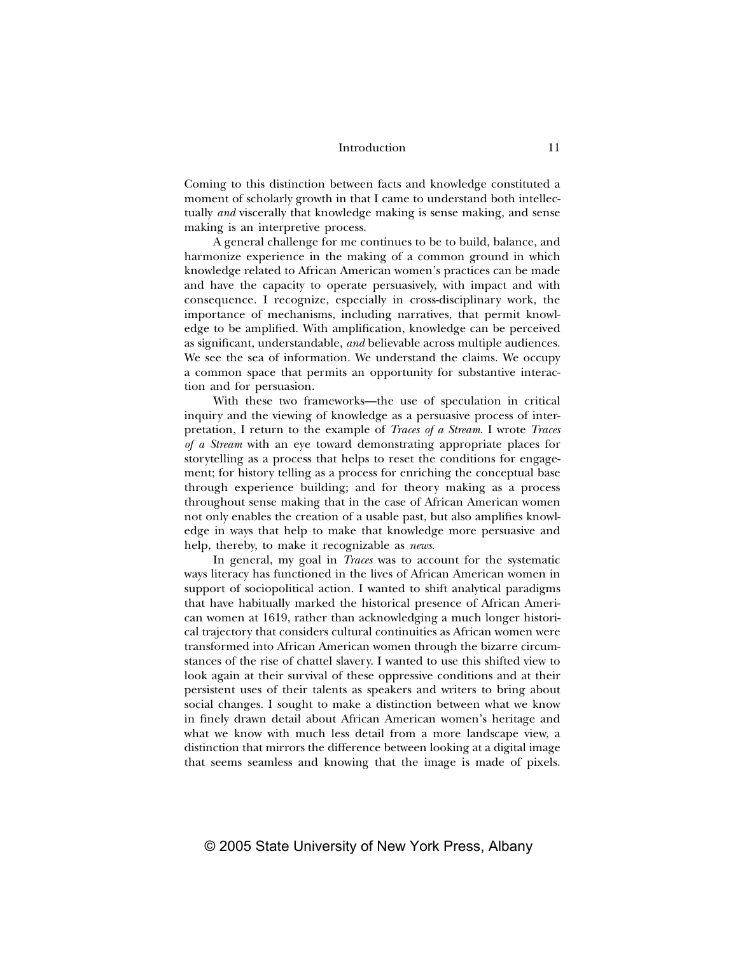Coming to this distinction between facts and knowledge constituted a moment of scholarly growth in that I came to understand both intellectually *and* viscerally that knowledge making is sense making, and sense making is an interpretive process.

A general challenge for me continues to be to build, balance, and harmonize experience in the making of a common ground in which knowledge related to African American women's practices can be made and have the capacity to operate persuasively, with impact and with consequence. I recognize, especially in cross-disciplinary work, the importance of mechanisms, including narratives, that permit knowledge to be amplified. With amplification, knowledge can be perceived as significant, understandable, *and* believable across multiple audiences. We see the sea of information. We understand the claims. We occupy a common space that permits an opportunity for substantive interaction and for persuasion.

With these two frameworks—the use of speculation in critical inquiry and the viewing of knowledge as a persuasive process of interpretation, I return to the example of *Traces of a Stream*. I wrote *Traces of a Stream* with an eye toward demonstrating appropriate places for storytelling as a process that helps to reset the conditions for engagement; for history telling as a process for enriching the conceptual base through experience building; and for theory making as a process throughout sense making that in the case of African American women not only enables the creation of a usable past, but also amplifies knowledge in ways that help to make that knowledge more persuasive and help, thereby, to make it recognizable as *news*.

In general, my goal in *Traces* was to account for the systematic ways literacy has functioned in the lives of African American women in support of sociopolitical action. I wanted to shift analytical paradigms that have habitually marked the historical presence of African American women at 1619, rather than acknowledging a much longer historical trajectory that considers cultural continuities as African women were transformed into African American women through the bizarre circumstances of the rise of chattel slavery. I wanted to use this shifted view to look again at their survival of these oppressive conditions and at their persistent uses of their talents as speakers and writers to bring about social changes. I sought to make a distinction between what we know in finely drawn detail about African American women's heritage and what we know with much less detail from a more landscape view, a distinction that mirrors the difference between looking at a digital image that seems seamless and knowing that the image is made of pixels.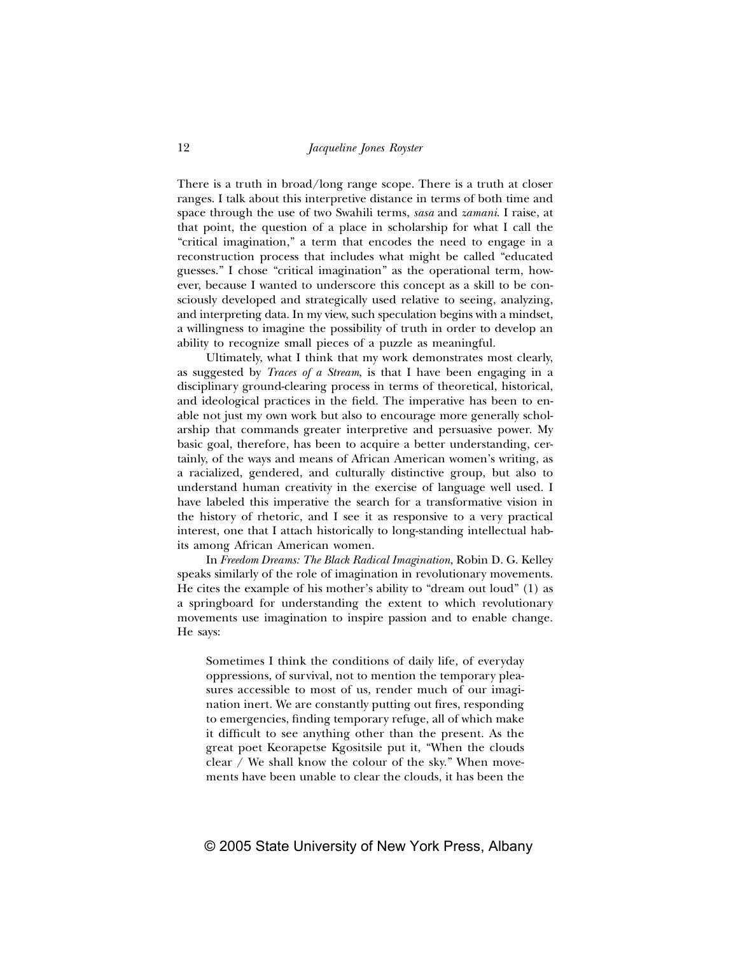There is a truth in broad/long range scope. There is a truth at closer ranges. I talk about this interpretive distance in terms of both time and space through the use of two Swahili terms, *sasa* and *zamani*. I raise, at that point, the question of a place in scholarship for what I call the "critical imagination," a term that encodes the need to engage in a reconstruction process that includes what might be called "educated guesses." I chose "critical imagination" as the operational term, however, because I wanted to underscore this concept as a skill to be consciously developed and strategically used relative to seeing, analyzing, and interpreting data. In my view, such speculation begins with a mindset, a willingness to imagine the possibility of truth in order to develop an ability to recognize small pieces of a puzzle as meaningful.

Ultimately, what I think that my work demonstrates most clearly, as suggested by *Traces of a Stream*, is that I have been engaging in a disciplinary ground-clearing process in terms of theoretical, historical, and ideological practices in the field. The imperative has been to enable not just my own work but also to encourage more generally scholarship that commands greater interpretive and persuasive power. My basic goal, therefore, has been to acquire a better understanding, certainly, of the ways and means of African American women's writing, as a racialized, gendered, and culturally distinctive group, but also to understand human creativity in the exercise of language well used. I have labeled this imperative the search for a transformative vision in the history of rhetoric, and I see it as responsive to a very practical interest, one that I attach historically to long-standing intellectual habits among African American women.

In *Freedom Dreams: The Black Radical Imagination*, Robin D. G. Kelley speaks similarly of the role of imagination in revolutionary movements. He cites the example of his mother's ability to "dream out loud" (1) as a springboard for understanding the extent to which revolutionary movements use imagination to inspire passion and to enable change. He says:

Sometimes I think the conditions of daily life, of everyday oppressions, of survival, not to mention the temporary pleasures accessible to most of us, render much of our imagination inert. We are constantly putting out fires, responding to emergencies, finding temporary refuge, all of which make it difficult to see anything other than the present. As the great poet Keorapetse Kgositsile put it, "When the clouds clear / We shall know the colour of the sky." When movements have been unable to clear the clouds, it has been the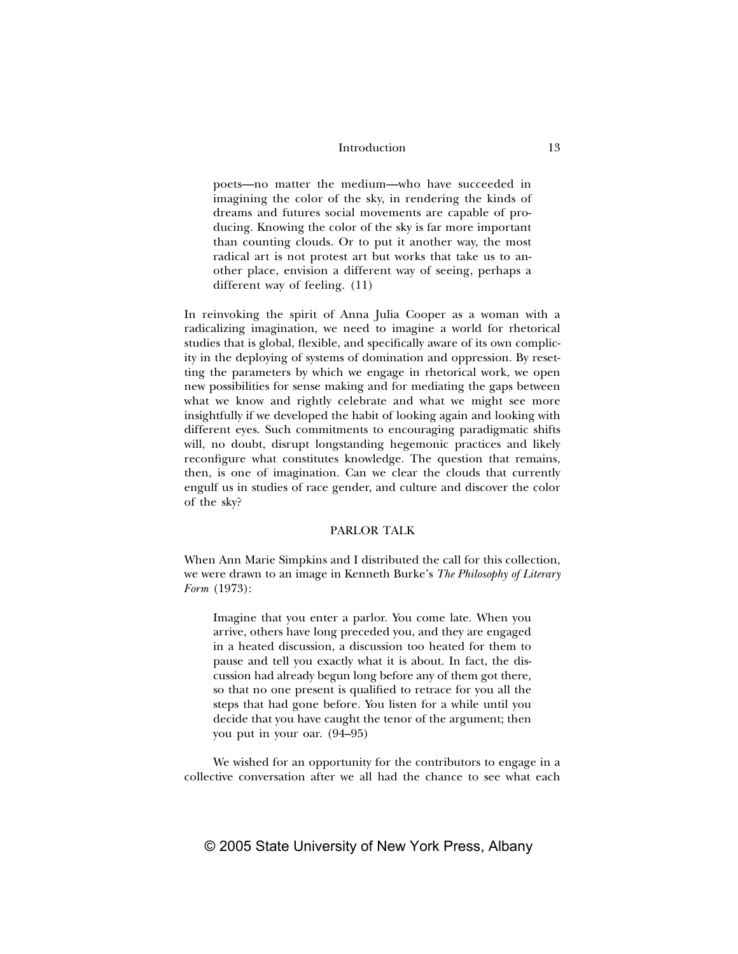poets—no matter the medium—who have succeeded in imagining the color of the sky, in rendering the kinds of dreams and futures social movements are capable of producing. Knowing the color of the sky is far more important than counting clouds. Or to put it another way, the most radical art is not protest art but works that take us to another place, envision a different way of seeing, perhaps a different way of feeling. (11)

In reinvoking the spirit of Anna Julia Cooper as a woman with a radicalizing imagination, we need to imagine a world for rhetorical studies that is global, flexible, and specifically aware of its own complicity in the deploying of systems of domination and oppression. By resetting the parameters by which we engage in rhetorical work, we open new possibilities for sense making and for mediating the gaps between what we know and rightly celebrate and what we might see more insightfully if we developed the habit of looking again and looking with different eyes. Such commitments to encouraging paradigmatic shifts will, no doubt, disrupt longstanding hegemonic practices and likely reconfigure what constitutes knowledge. The question that remains, then, is one of imagination. Can we clear the clouds that currently engulf us in studies of race gender, and culture and discover the color of the sky?

## PARLOR TALK

When Ann Marie Simpkins and I distributed the call for this collection, we were drawn to an image in Kenneth Burke's *The Philosophy of Literary Form* (1973):

Imagine that you enter a parlor. You come late. When you arrive, others have long preceded you, and they are engaged in a heated discussion, a discussion too heated for them to pause and tell you exactly what it is about. In fact, the discussion had already begun long before any of them got there, so that no one present is qualified to retrace for you all the steps that had gone before. You listen for a while until you decide that you have caught the tenor of the argument; then you put in your oar. (94–95)

We wished for an opportunity for the contributors to engage in a collective conversation after we all had the chance to see what each